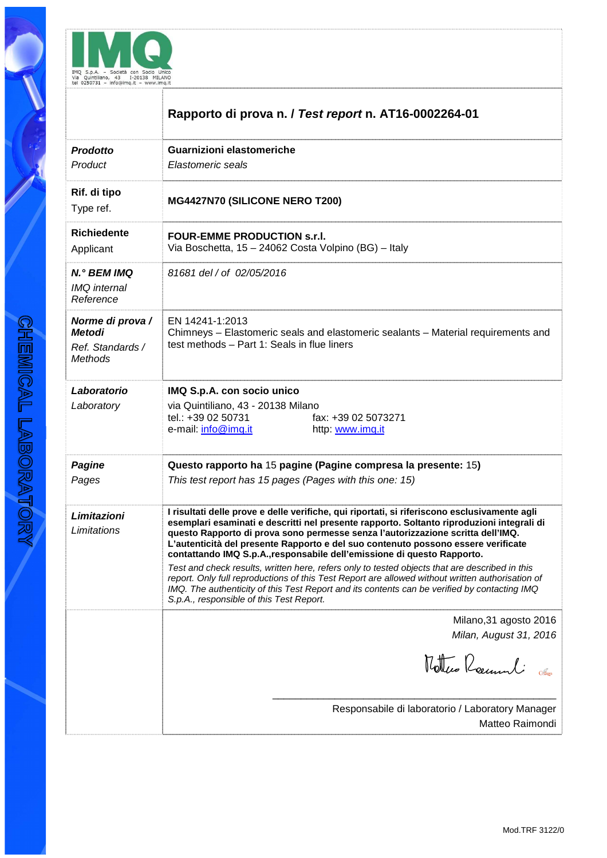

|                                                                  | Rapporto di prova n. / Test report n. AT16-0002264-01                                                                                                                                                                                                                                                                                                                                                                                                                                                                                                                                                                                                                                                                                              |
|------------------------------------------------------------------|----------------------------------------------------------------------------------------------------------------------------------------------------------------------------------------------------------------------------------------------------------------------------------------------------------------------------------------------------------------------------------------------------------------------------------------------------------------------------------------------------------------------------------------------------------------------------------------------------------------------------------------------------------------------------------------------------------------------------------------------------|
| Prodotto<br>Product                                              | Guarnizioni elastomeriche<br>Elastomeric seals                                                                                                                                                                                                                                                                                                                                                                                                                                                                                                                                                                                                                                                                                                     |
| Rif. di tipo<br>Type ref.                                        | MG4427N70 (SILICONE NERO T200)                                                                                                                                                                                                                                                                                                                                                                                                                                                                                                                                                                                                                                                                                                                     |
| <b>Richiedente</b><br>Applicant                                  | <b>FOUR-EMME PRODUCTION s.r.I.</b><br>Via Boschetta, 15 - 24062 Costa Volpino (BG) - Italy                                                                                                                                                                                                                                                                                                                                                                                                                                                                                                                                                                                                                                                         |
| N.º BEM IMQ<br><b>IMQ</b> internal<br>Reference                  | 81681 del / of 02/05/2016                                                                                                                                                                                                                                                                                                                                                                                                                                                                                                                                                                                                                                                                                                                          |
| Norme di prova /<br><b>Metodi</b><br>Ref. Standards /<br>Methods | EN 14241-1:2013<br>Chimneys - Elastomeric seals and elastomeric sealants - Material requirements and<br>test methods - Part 1: Seals in flue liners                                                                                                                                                                                                                                                                                                                                                                                                                                                                                                                                                                                                |
| Laboratorio<br>Laboratory                                        | IMQ S.p.A. con socio unico<br>via Quintiliano, 43 - 20138 Milano<br>tel.: +39 02 50731<br>fax: +39 02 5073271<br>e-mail: info@imq.it<br>http: www.imq.it                                                                                                                                                                                                                                                                                                                                                                                                                                                                                                                                                                                           |
| <b>Pagine</b><br>Pages                                           | Questo rapporto ha 15 pagine (Pagine compresa la presente: 15)<br>This test report has 15 pages (Pages with this one: 15)                                                                                                                                                                                                                                                                                                                                                                                                                                                                                                                                                                                                                          |
| Limitazioni<br>Limitations                                       | I risultati delle prove e delle verifiche, qui riportati, si riferiscono esclusivamente agli<br>esemplari esaminati e descritti nel presente rapporto. Soltanto riproduzioni integrali di<br>questo Rapporto di prova sono permesse senza l'autorizzazione scritta dell'IMQ.<br>L'autenticità del presente Rapporto e del suo contenuto possono essere verificate<br>contattando IMQ S.p.A., responsabile dell'emissione di questo Rapporto.<br>Test and check results, written here, refers only to tested objects that are described in this<br>report. Only full reproductions of this Test Report are allowed without written authorisation of<br>IMQ. The authenticity of this Test Report and its contents can be verified by contacting IMQ |
|                                                                  | S.p.A., responsible of this Test Report.<br>Milano, 31 agosto 2016<br>Milan, August 31, 2016<br>Mottres Roumeli                                                                                                                                                                                                                                                                                                                                                                                                                                                                                                                                                                                                                                    |
|                                                                  | Responsabile di laboratorio / Laboratory Manager<br>Matteo Raimondi                                                                                                                                                                                                                                                                                                                                                                                                                                                                                                                                                                                                                                                                                |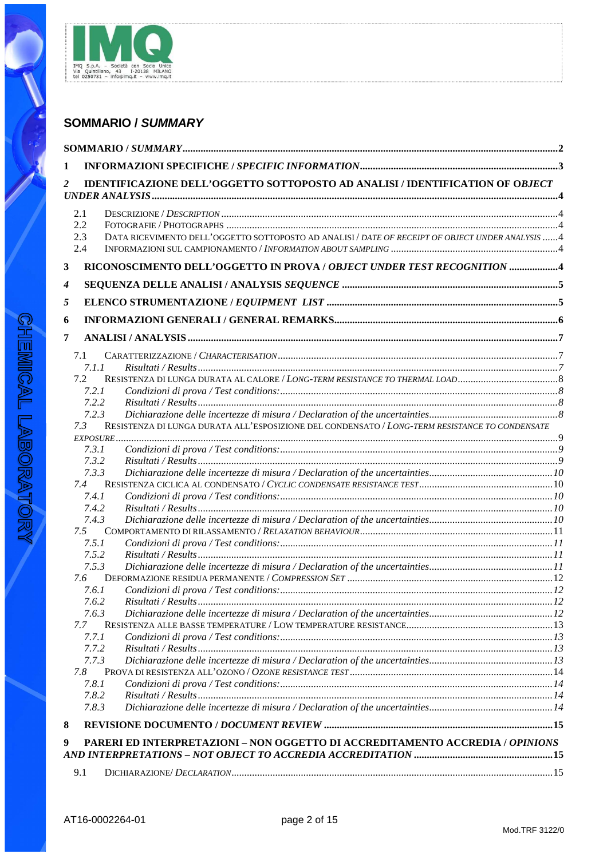

# **SOMMARIO / SUMMARY**

| 1 |              |                                                                                                   |  |
|---|--------------|---------------------------------------------------------------------------------------------------|--|
| 2 |              | IDENTIFICAZIONE DELL'OGGETTO SOTTOPOSTO AD ANALISI / IDENTIFICATION OF OBJECT                     |  |
|   | 2.1          |                                                                                                   |  |
|   | 2.2          |                                                                                                   |  |
|   | 2.3          | DATA RICEVIMENTO DELL'OGGETTO SOTTOPOSTO AD ANALISI / DATE OF RECEIPT OF OBJECT UNDER ANALYSIS  4 |  |
|   | 2.4          |                                                                                                   |  |
| 3 |              | RICONOSCIMENTO DELL'OGGETTO IN PROVA / OBJECT UNDER TEST RECOGNITION 4                            |  |
| 4 |              |                                                                                                   |  |
| 5 |              |                                                                                                   |  |
| 6 |              |                                                                                                   |  |
| 7 |              |                                                                                                   |  |
|   |              |                                                                                                   |  |
|   | 7.1<br>7.1.1 |                                                                                                   |  |
|   | 7.2          | RESISTENZA DI LUNGA DURATA AL CALORE / LONG-TERM RESISTANCE TO THERMAL LOAD                       |  |
|   | 7.2.1        |                                                                                                   |  |
|   | 7.2.2        |                                                                                                   |  |
|   | 7.2.3        |                                                                                                   |  |
|   | 7.3          | RESISTENZA DI LUNGA DURATA ALL'ESPOSIZIONE DEL CONDENSATO / LONG-TERM RESISTANCE TO CONDENSATE    |  |
|   | $EXPOSURE$   |                                                                                                   |  |
|   | 7.3.1        |                                                                                                   |  |
|   | 7.3.2        |                                                                                                   |  |
|   | 7.3.3        |                                                                                                   |  |
|   | 7.4          |                                                                                                   |  |
|   | 7.4.1        |                                                                                                   |  |
|   | 7.4.2        |                                                                                                   |  |
|   | 7.4.3        |                                                                                                   |  |
|   | 7.5<br>7.5.1 |                                                                                                   |  |
|   | 7.5.2        |                                                                                                   |  |
|   | 7.5.3        |                                                                                                   |  |
|   | 7.6          |                                                                                                   |  |
|   | 7.6.1        |                                                                                                   |  |
|   | 7.6.2        |                                                                                                   |  |
|   | 7.6.3        |                                                                                                   |  |
|   | 7.7          |                                                                                                   |  |
|   | 7.7.1        |                                                                                                   |  |
|   | 7.7.2        |                                                                                                   |  |
|   | 7.7.3        |                                                                                                   |  |
|   | 7.8          |                                                                                                   |  |
|   | 7.8.1        |                                                                                                   |  |
|   | 7.8.2        |                                                                                                   |  |
|   | 7.8.3        |                                                                                                   |  |
| 8 |              |                                                                                                   |  |
| 9 |              | PARERI ED INTERPRETAZIONI - NON OGGETTO DI ACCREDITAMENTO ACCREDIA / OPINIONS                     |  |
|   |              | AND INTERPRETATIONS – NOT OBJECT TO ACCREDIA ACCREDITATION ……………………………………………………15                 |  |
|   | 9.1          |                                                                                                   |  |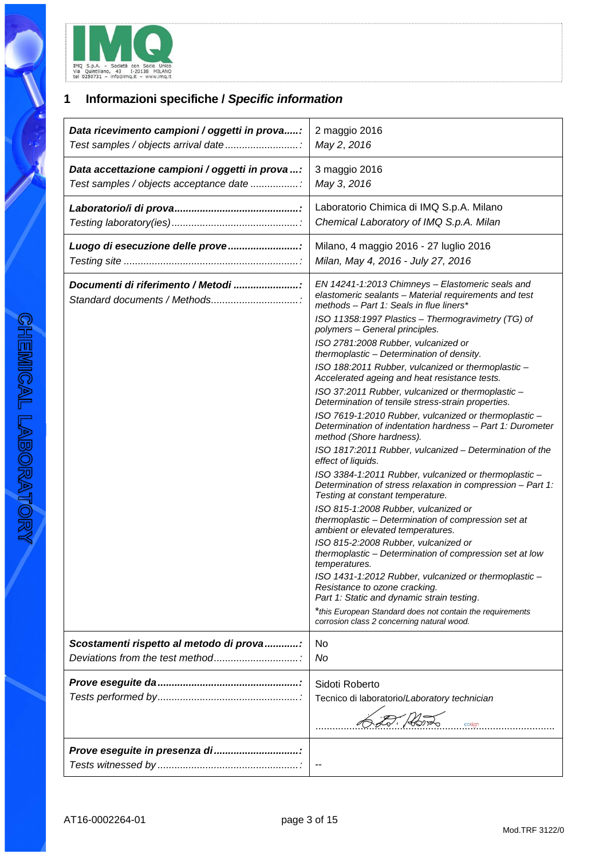

# **1 Informazioni specifiche / Specific information**

| Data ricevimento campioni / oggetti in prova:                     | 2 maggio 2016                                                                                                                                                                                                                                                                                                                                                                                                                                                                                                                                                                                                                                                                                                                                                                                                                                                                                                                                                                                                                                                                                                                                                                                                                                                                                                                                                                                                                                                |
|-------------------------------------------------------------------|--------------------------------------------------------------------------------------------------------------------------------------------------------------------------------------------------------------------------------------------------------------------------------------------------------------------------------------------------------------------------------------------------------------------------------------------------------------------------------------------------------------------------------------------------------------------------------------------------------------------------------------------------------------------------------------------------------------------------------------------------------------------------------------------------------------------------------------------------------------------------------------------------------------------------------------------------------------------------------------------------------------------------------------------------------------------------------------------------------------------------------------------------------------------------------------------------------------------------------------------------------------------------------------------------------------------------------------------------------------------------------------------------------------------------------------------------------------|
| Test samples / objects arrival date                               | May 2, 2016                                                                                                                                                                                                                                                                                                                                                                                                                                                                                                                                                                                                                                                                                                                                                                                                                                                                                                                                                                                                                                                                                                                                                                                                                                                                                                                                                                                                                                                  |
| Data accettazione campioni / oggetti in prova :                   | 3 maggio 2016                                                                                                                                                                                                                                                                                                                                                                                                                                                                                                                                                                                                                                                                                                                                                                                                                                                                                                                                                                                                                                                                                                                                                                                                                                                                                                                                                                                                                                                |
| Test samples / objects acceptance date                            | May 3, 2016                                                                                                                                                                                                                                                                                                                                                                                                                                                                                                                                                                                                                                                                                                                                                                                                                                                                                                                                                                                                                                                                                                                                                                                                                                                                                                                                                                                                                                                  |
|                                                                   | Laboratorio Chimica di IMQ S.p.A. Milano                                                                                                                                                                                                                                                                                                                                                                                                                                                                                                                                                                                                                                                                                                                                                                                                                                                                                                                                                                                                                                                                                                                                                                                                                                                                                                                                                                                                                     |
|                                                                   | Chemical Laboratory of IMQ S.p.A. Milan                                                                                                                                                                                                                                                                                                                                                                                                                                                                                                                                                                                                                                                                                                                                                                                                                                                                                                                                                                                                                                                                                                                                                                                                                                                                                                                                                                                                                      |
| Luogo di esecuzione delle prove                                   | Milano, 4 maggio 2016 - 27 luglio 2016                                                                                                                                                                                                                                                                                                                                                                                                                                                                                                                                                                                                                                                                                                                                                                                                                                                                                                                                                                                                                                                                                                                                                                                                                                                                                                                                                                                                                       |
|                                                                   | Milan, May 4, 2016 - July 27, 2016                                                                                                                                                                                                                                                                                                                                                                                                                                                                                                                                                                                                                                                                                                                                                                                                                                                                                                                                                                                                                                                                                                                                                                                                                                                                                                                                                                                                                           |
| Documenti di riferimento / Metodi<br>Standard documents / Methods | EN 14241-1:2013 Chimneys - Elastomeric seals and<br>elastomeric sealants - Material requirements and test<br>methods - Part 1: Seals in flue liners*<br>ISO 11358:1997 Plastics - Thermogravimetry (TG) of<br>polymers - General principles.<br>ISO 2781:2008 Rubber, vulcanized or<br>thermoplastic - Determination of density.<br>ISO 188:2011 Rubber, vulcanized or thermoplastic -<br>Accelerated ageing and heat resistance tests.<br>ISO 37:2011 Rubber, vulcanized or thermoplastic -<br>Determination of tensile stress-strain properties.<br>ISO 7619-1:2010 Rubber, vulcanized or thermoplastic -<br>Determination of indentation hardness - Part 1: Durometer<br>method (Shore hardness).<br>ISO 1817:2011 Rubber, vulcanized - Determination of the<br>effect of liquids.<br>ISO 3384-1:2011 Rubber, vulcanized or thermoplastic -<br>Determination of stress relaxation in compression - Part 1:<br>Testing at constant temperature.<br>ISO 815-1:2008 Rubber, vulcanized or<br>thermoplastic - Determination of compression set at<br>ambient or elevated temperatures.<br>ISO 815-2:2008 Rubber, vulcanized or<br>thermoplastic - Determination of compression set at low<br>temperatures.<br>ISO 1431-1:2012 Rubber, vulcanized or thermoplastic -<br>Resistance to ozone cracking.<br>Part 1: Static and dynamic strain testing.<br>*this European Standard does not contain the requirements<br>corrosion class 2 concerning natural wood. |
| Scostamenti rispetto al metodo di prova:                          | No                                                                                                                                                                                                                                                                                                                                                                                                                                                                                                                                                                                                                                                                                                                                                                                                                                                                                                                                                                                                                                                                                                                                                                                                                                                                                                                                                                                                                                                           |
| Deviations from the test method                                   | No                                                                                                                                                                                                                                                                                                                                                                                                                                                                                                                                                                                                                                                                                                                                                                                                                                                                                                                                                                                                                                                                                                                                                                                                                                                                                                                                                                                                                                                           |
|                                                                   | Sidoti Roberto<br>Tecnico di laboratorio/Laboratory technician<br>cosign                                                                                                                                                                                                                                                                                                                                                                                                                                                                                                                                                                                                                                                                                                                                                                                                                                                                                                                                                                                                                                                                                                                                                                                                                                                                                                                                                                                     |
| Prove eseguite in presenza di                                     |                                                                                                                                                                                                                                                                                                                                                                                                                                                                                                                                                                                                                                                                                                                                                                                                                                                                                                                                                                                                                                                                                                                                                                                                                                                                                                                                                                                                                                                              |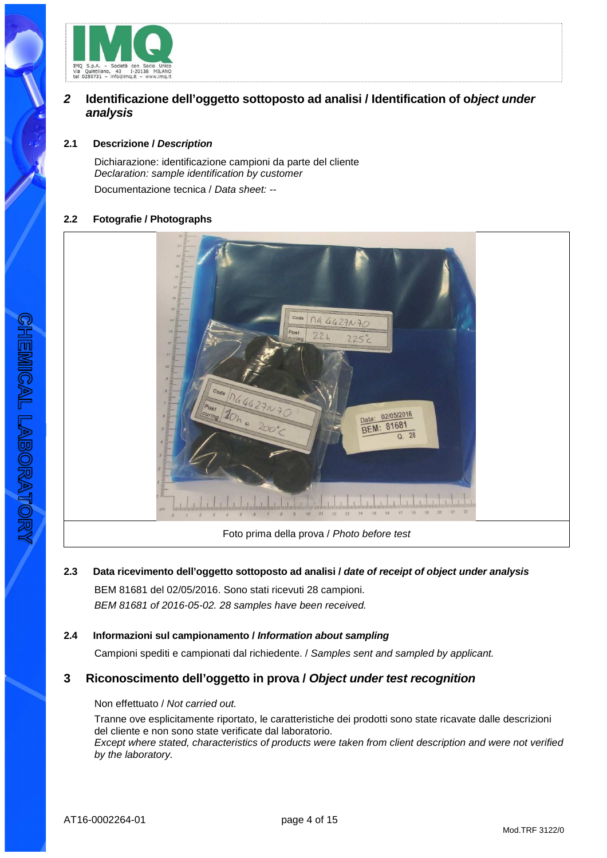

# **2 Identificazione dell'oggetto sottoposto ad analisi / Identification of object under analysis**

# **2.1 Descrizione / Description**

Dichiarazione: identificazione campioni da parte del cliente Declaration: sample identification by customer Documentazione tecnica / Data sheet: --

## **2.2 Fotografie / Photographs**



Foto prima della prova / Photo before test

**2.3 Data ricevimento dell'oggetto sottoposto ad analisi / date of receipt of object under analysis** BEM 81681 del 02/05/2016. Sono stati ricevuti 28 campioni. BEM 81681 of 2016-05-02. 28 samples have been received.

# **2.4 Informazioni sul campionamento / Information about sampling**

Campioni spediti e campionati dal richiedente. / Samples sent and sampled by applicant.

# **3 Riconoscimento dell'oggetto in prova / Object under test recognition**

#### Non effettuato / Not carried out.

Tranne ove esplicitamente riportato, le caratteristiche dei prodotti sono state ricavate dalle descrizioni del cliente e non sono state verificate dal laboratorio. Except where stated, characteristics of products were taken from client description and were not verified by the laboratory.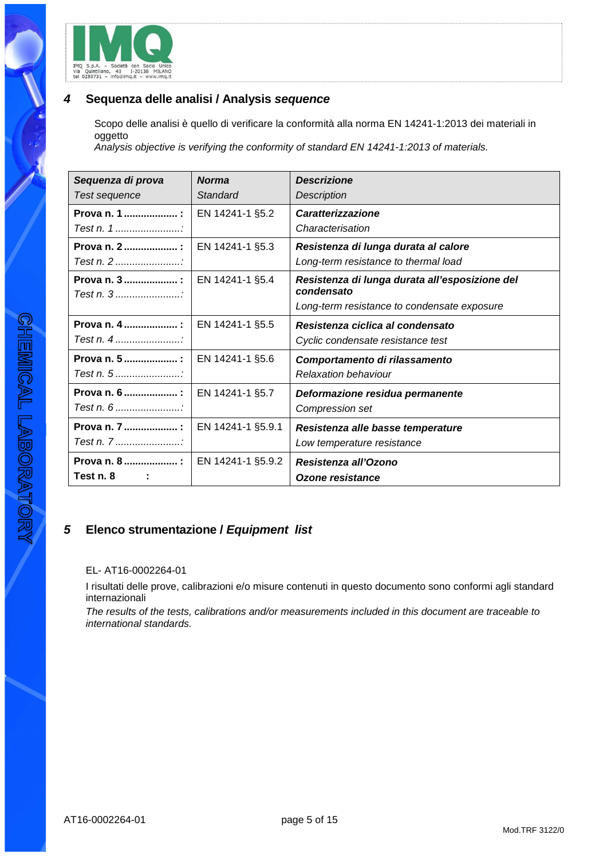

# **4 Sequenza delle analisi / Analysis sequence**

Scopo delle analisi è quello di verificare la conformità alla norma EN 14241-1:2013 dei materiali in oggetto

Analysis objective is verifying the conformity of standard EN 14241-1:2013 of materials.

| Sequenza di prova          | <b>Norma</b>      | <b>Descrizione</b>                                           |
|----------------------------|-------------------|--------------------------------------------------------------|
| Test sequence              | Standard          | <b>Description</b>                                           |
| Prova n. 1                 | EN 14241-1 §5.2   | <b>Caratterizzazione</b>                                     |
|                            |                   | Characterisation                                             |
| Prova n. 2 :               | EN 14241-1 §5.3   | Resistenza di lunga durata al calore                         |
| Test n. 2                  |                   | Long-term resistance to thermal load                         |
| Prova n. 3  :<br>Test n. 3 | EN 14241-1 §5.4   | Resistenza di lunga durata all'esposizione del<br>condensato |
|                            |                   | Long-term resistance to condensate exposure                  |
| Prova n. 4  :              | EN 14241-1 §5.5   | Resistenza ciclica al condensato                             |
| Test n. $4$                |                   | Cyclic condensate resistance test                            |
| Prova n. 5  :              | EN 14241-1 §5.6   | Comportamento di rilassamento                                |
|                            |                   | <b>Relaxation behaviour</b>                                  |
| Prova n. 6  :              | EN 14241-1 §5.7   | Deformazione residua permanente                              |
| Test n. 6                  |                   | Compression set                                              |
| Prova n. 7 :               | EN 14241-1 §5.9.1 | Resistenza alle basse temperature                            |
| Test n. 7                  |                   | Low temperature resistance                                   |
| Prova n. 8 :               | EN 14241-1 §5.9.2 | Resistenza all'Ozono                                         |
| Test n. 8                  |                   | Ozone resistance                                             |

# **5 Elenco strumentazione / Equipment list**

## EL- AT16-0002264-01

I risultati delle prove, calibrazioni e/o misure contenuti in questo documento sono conformi agli standard internazionali

The results of the tests, calibrations and/or measurements included in this document are traceable to international standards.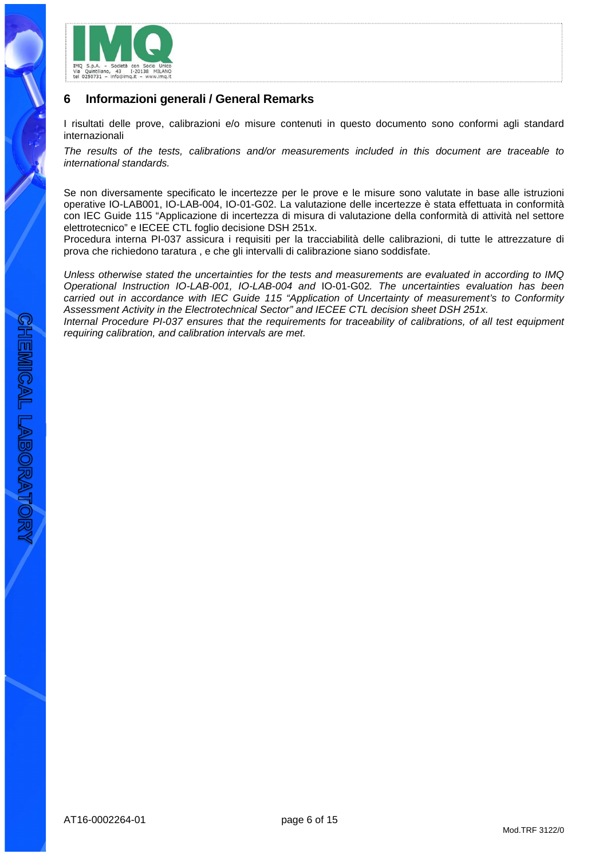

# **6 Informazioni generali / General Remarks**

I risultati delle prove, calibrazioni e/o misure contenuti in questo documento sono conformi agli standard internazionali

The results of the tests, calibrations and/or measurements included in this document are traceable to international standards.

Se non diversamente specificato le incertezze per le prove e le misure sono valutate in base alle istruzioni operative IO-LAB001, IO-LAB-004, IO-01-G02. La valutazione delle incertezze è stata effettuata in conformità con IEC Guide 115 "Applicazione di incertezza di misura di valutazione della conformità di attività nel settore elettrotecnico" e IECEE CTL foglio decisione DSH 251x.

Procedura interna PI-037 assicura i requisiti per la tracciabilità delle calibrazioni, di tutte le attrezzature di prova che richiedono taratura , e che gli intervalli di calibrazione siano soddisfate.

Unless otherwise stated the uncertainties for the tests and measurements are evaluated in according to IMQ Operational Instruction IO-LAB-001, IO-LAB-004 and IO-01-G02. The uncertainties evaluation has been carried out in accordance with IEC Guide 115 "Application of Uncertainty of measurement's to Conformity Assessment Activity in the Electrotechnical Sector" and IECEE CTL decision sheet DSH 251x.

Internal Procedure PI-037 ensures that the requirements for traceability of calibrations, of all test equipment requiring calibration, and calibration intervals are met.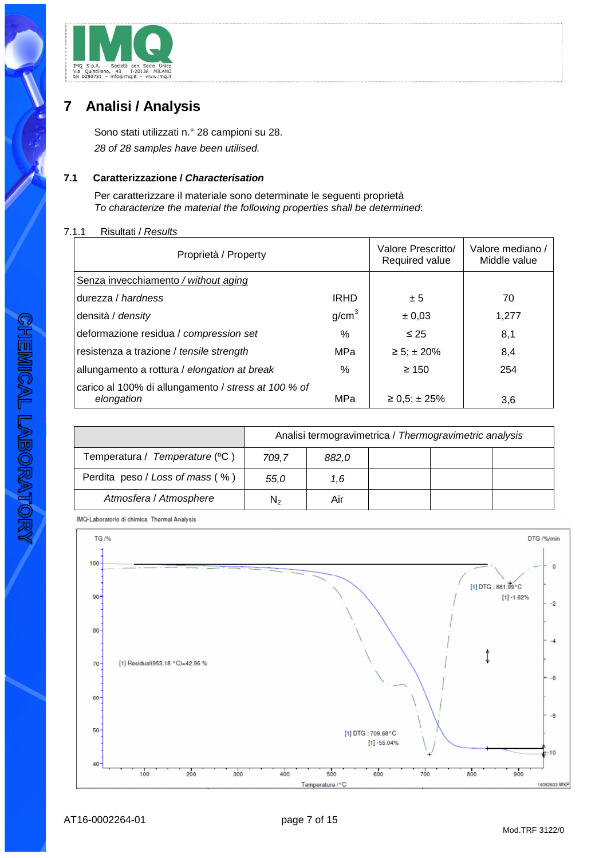

# **7 Analisi / Analysis**

Sono stati utilizzati n.° 28 campioni su 28. 28 of 28 samples have been utilised.

# **7.1 Caratterizzazione / Characterisation**

Per caratterizzare il materiale sono determinate le seguenti proprietà To characterize the material the following properties shall be determined:

#### 7.1.1 Risultati / Results

| Proprietà / Property                                              |                   | Valore Prescritto/<br>Required value | Valore mediano /<br>Middle value |
|-------------------------------------------------------------------|-------------------|--------------------------------------|----------------------------------|
| Senza invecchiamento / without aging                              |                   |                                      |                                  |
| durezza / hardness                                                | IRHD              | ± 5                                  | 70                               |
| densità / <i>density</i>                                          | g/cm <sup>3</sup> | $\pm 0.03$                           | 1,277                            |
| deformazione residua / compression set                            | %                 | $\leq 25$                            | 8,1                              |
| resistenza a trazione / tensile strength                          | MPa               | $\ge 5$ ; ± 20%                      | 8,4                              |
| allungamento a rottura / elongation at break                      | $\%$              | $\geq 150$                           | 254                              |
| carico al 100% di allungamento / stress at 100 % of<br>elongation | MPa               | $\geq 0.5$ ; ± 25%                   | 3,6                              |

|                                 | Analisi termogravimetrica / Thermogravimetric analysis |       |  |  |  |
|---------------------------------|--------------------------------------------------------|-------|--|--|--|
| Temperatura / Temperature (°C)  | 709.7                                                  | 882,0 |  |  |  |
| Perdita peso / Loss of mass (%) | 55.0                                                   | 1.6   |  |  |  |
| Atmosfera / Atmosphere          | N›                                                     | Air   |  |  |  |

IMQ-Laboratorio di chimica Thermal Analysis

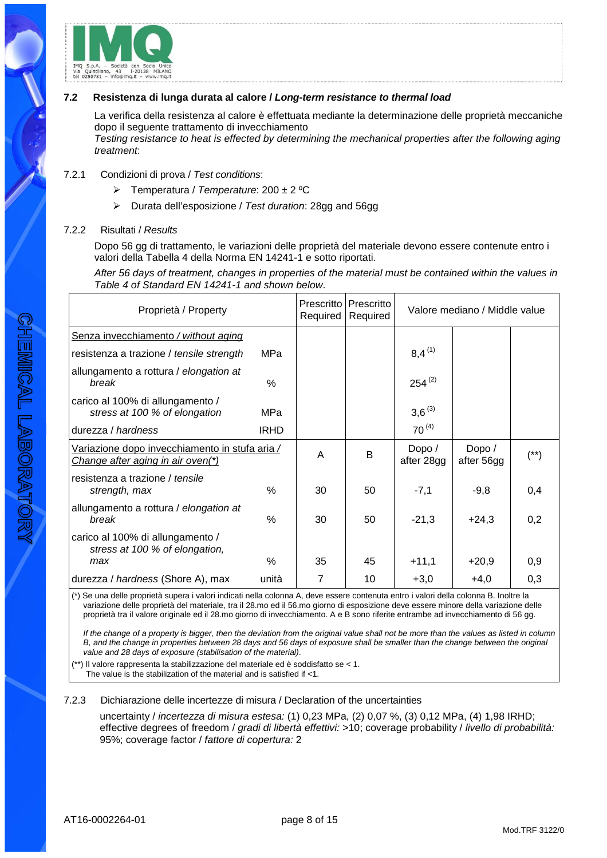

#### **7.2 Resistenza di lunga durata al calore / Long-term resistance to thermal load**

La verifica della resistenza al calore è effettuata mediante la determinazione delle proprietà meccaniche dopo il seguente trattamento di invecchiamento Testing resistance to heat is effected by determining the mechanical properties after the following aging treatment:

## 7.2.1 Condizioni di prova / Test conditions:

- $\triangleright$  Temperatura / Temperature: 200 ± 2 °C
- Durata dell'esposizione / Test duration: 28gg and 56gg

#### 7.2.2 Risultati / Results

Dopo 56 gg di trattamento, le variazioni delle proprietà del materiale devono essere contenute entro i valori della Tabella 4 della Norma EN 14241-1 e sotto riportati.

After 56 days of treatment, changes in properties of the material must be contained within the values in Table 4 of Standard EN 14241-1 and shown below.

| Proprietà / Property                                                                |             | Prescritto<br>Required | Prescritto<br>Required |                      | Valore mediano / Middle value |          |
|-------------------------------------------------------------------------------------|-------------|------------------------|------------------------|----------------------|-------------------------------|----------|
| Senza invecchiamento / without aging                                                |             |                        |                        |                      |                               |          |
| resistenza a trazione / tensile strength                                            | MPa         |                        |                        | $8,4^{(1)}$          |                               |          |
| allungamento a rottura / elongation at<br>break                                     | $\%$        |                        |                        | $254^{(2)}$          |                               |          |
| carico al 100% di allungamento /<br>stress at 100 % of elongation                   | MPa         |                        |                        | $3,6^{(3)}$          |                               |          |
| durezza / hardness                                                                  | <b>IRHD</b> |                        |                        | $70^{(4)}$           |                               |          |
| Variazione dopo invecchiamento in stufa aria /<br>Change after aging in air oven(*) |             | A                      | B                      | Dopo /<br>after 28gg | Dopo /<br>after 56gg          | $^{(*)}$ |
| resistenza a trazione / tensile<br>strength, max                                    | $\%$        | 30                     | 50                     | $-7,1$               | $-9,8$                        | 0,4      |
| allungamento a rottura / elongation at<br>break                                     | $\%$        | 30                     | 50                     | $-21,3$              | $+24,3$                       | 0,2      |
| carico al 100% di allungamento /<br>stress at 100 % of elongation,                  |             |                        |                        |                      |                               |          |
| max                                                                                 | $\%$        | 35                     | 45                     | $+11,1$              | $+20,9$                       | 0,9      |
| durezza / hardness (Shore A), max                                                   | unità       | 7                      | 10                     | $+3,0$               | $+4,0$                        | 0,3      |

(\*) Se una delle proprietà supera i valori indicati nella colonna A, deve essere contenuta entro i valori della colonna B. Inoltre la variazione delle proprietà del materiale, tra il 28.mo ed il 56.mo giorno di esposizione deve essere minore della variazione delle proprietà tra il valore originale ed il 28.mo giorno di invecchiamento. A e B sono riferite entrambe ad invecchiamento di 56 gg.

If the change of a property is bigger, then the deviation from the original value shall not be more than the values as listed in column B, and the change in properties between 28 days and 56 days of exposure shall be smaller than the change between the original value and 28 days of exposure (stabilisation of the material).

 $(*)$  Il valore rappresenta la stabilizzazione del materiale ed è soddisfatto se < 1. The value is the stabilization of the material and is satisfied if <1.

#### 7.2.3 Dichiarazione delle incertezze di misura / Declaration of the uncertainties

uncertainty / incertezza di misura estesa: (1) 0,23 MPa, (2) 0,07 %, (3) 0,12 MPa, (4) 1,98 IRHD; effective degrees of freedom / gradi di libertà effettivi: >10; coverage probability / livello di probabilità: 95%; coverage factor / fattore di copertura: 2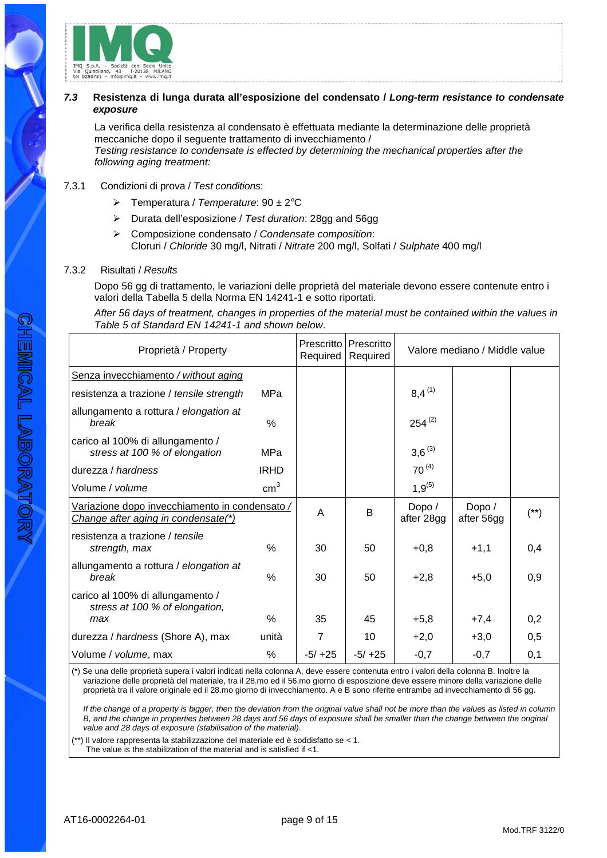

## **7.3 Resistenza di lunga durata all'esposizione del condensato / Long-term resistance to condensate exposure**

La verifica della resistenza al condensato è effettuata mediante la determinazione delle proprietà meccaniche dopo il seguente trattamento di invecchiamento / Testing resistance to condensate is effected by determining the mechanical properties after the following aging treatment:

## 7.3.1 Condizioni di prova / Test conditions:

- $\triangleright$  Temperatura / Temperature: 90  $\pm$  2°C
- $\triangleright$  Durata dell'esposizione / Test duration: 28gg and 56gg
- Composizione condensato / Condensate composition: Cloruri / Chloride 30 mg/l, Nitrati / Nitrate 200 mg/l, Solfati / Sulphate 400 mg/l

#### 7.3.2 Risultati / Results

Dopo 56 gg di trattamento, le variazioni delle proprietà del materiale devono essere contenute entro i valori della Tabella 5 della Norma EN 14241-1 e sotto riportati.

After 56 days of treatment, changes in properties of the material must be contained within the values in Table 5 of Standard EN 14241-1 and shown below.

| Proprietà / Property                                                                  |                 | Prescritto<br>Required | Prescritto<br>Required |                      | Valore mediano / Middle value |          |
|---------------------------------------------------------------------------------------|-----------------|------------------------|------------------------|----------------------|-------------------------------|----------|
| Senza invecchiamento / without aging                                                  |                 |                        |                        |                      |                               |          |
| resistenza a trazione / tensile strength                                              | MPa             |                        |                        | $8,4^{(1)}$          |                               |          |
| allungamento a rottura / elongation at<br>break                                       | $\%$            |                        |                        | $254^{(2)}$          |                               |          |
| carico al 100% di allungamento /<br>stress at 100 % of elongation                     | MPa             |                        |                        | $3,6^{(3)}$          |                               |          |
| durezza / hardness                                                                    | <b>IRHD</b>     |                        |                        | $70^{(4)}$           |                               |          |
| Volume / volume                                                                       | cm <sup>3</sup> |                        |                        | $1,9^{(5)}$          |                               |          |
| Variazione dopo invecchiamento in condensato /<br>Change after aging in condensate(*) |                 | A                      | B                      | Dopo /<br>after 28gg | Dopo /<br>after 56gg          | $^{(*)}$ |
| resistenza a trazione / tensile<br>strength, max                                      | $\%$            | 30                     | 50                     | $+0,8$               | $+1,1$                        | 0,4      |
| allungamento a rottura / elongation at<br>break                                       | $\frac{0}{0}$   | 30                     | 50                     | $+2,8$               | $+5,0$                        | 0,9      |
| carico al 100% di allungamento /<br>stress at 100 % of elongation,                    | $\%$            | 35                     | 45                     |                      |                               | 0,2      |
| max                                                                                   |                 |                        |                        | $+5,8$               | $+7,4$                        |          |
| durezza / hardness (Shore A), max                                                     | unità           | 7                      | 10                     | $+2,0$               | $+3,0$                        | 0,5      |
| Volume / volume, max                                                                  | ℅               | $-5/ +25$              | $-5/ +25$              | $-0,7$               | $-0,7$                        | 0,1      |

(\*) Se una delle proprietà supera i valori indicati nella colonna A, deve essere contenuta entro i valori della colonna B. Inoltre la variazione delle proprietà del materiale, tra il 28.mo ed il 56.mo giorno di esposizione deve essere minore della variazione delle proprietà tra il valore originale ed il 28.mo giorno di invecchiamento. A e B sono riferite entrambe ad invecchiamento di 56 gg.

If the change of a property is bigger, then the deviation from the original value shall not be more than the values as listed in column B, and the change in properties between 28 days and 56 days of exposure shall be smaller than the change between the original value and 28 days of exposure (stabilisation of the material).

(\*\*) Il valore rappresenta la stabilizzazione del materiale ed è soddisfatto se < 1. The value is the stabilization of the material and is satisfied if <1.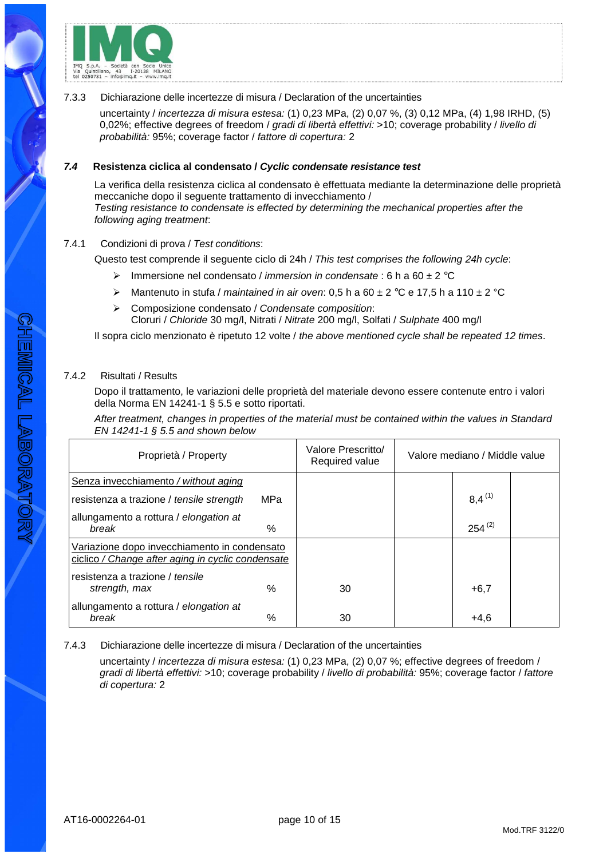

#### 7.3.3 Dichiarazione delle incertezze di misura / Declaration of the uncertainties

uncertainty / incertezza di misura estesa: (1) 0,23 MPa, (2) 0,07 %, (3) 0,12 MPa, (4) 1,98 IRHD, (5) 0,02%; effective degrees of freedom / gradi di libertà effettivi: >10; coverage probability / livello di probabilità: 95%; coverage factor / fattore di copertura: 2

## **7.4 Resistenza ciclica al condensato / Cyclic condensate resistance test**

La verifica della resistenza ciclica al condensato è effettuata mediante la determinazione delle proprietà meccaniche dopo il seguente trattamento di invecchiamento / Testing resistance to condensate is effected by determining the mechanical properties after the following aging treatment:

## 7.4.1 Condizioni di prova / Test conditions:

Questo test comprende il seguente ciclo di 24h / This test comprises the following 24h cycle:

- Immersione nel condensato / *immersion in condensate* : 6 h a 60  $\pm$  2 °C
- A Mantenuto in stufa / maintained in air oven: 0,5 h a 60  $\pm$  2 °C e 17,5 h a 110  $\pm$  2 °C
- $\triangleright$  Composizione condensato / Condensate composition: Cloruri / Chloride 30 mg/l, Nitrati / Nitrate 200 mg/l, Solfati / Sulphate 400 mg/l

Il sopra ciclo menzionato è ripetuto 12 volte / the above mentioned cycle shall be repeated 12 times.

## 7.4.2 Risultati / Results

Dopo il trattamento, le variazioni delle proprietà del materiale devono essere contenute entro i valori della Norma EN 14241-1 § 5.5 e sotto riportati.

After treatment, changes in properties of the material must be contained within the values in Standard EN 14241-1 § 5.5 and shown below

| Proprietà / Property                                                                              |            | Valore Prescritto/<br>Required value | Valore mediano / Middle value |             |  |
|---------------------------------------------------------------------------------------------------|------------|--------------------------------------|-------------------------------|-------------|--|
| Senza invecchiamento / without aging                                                              |            |                                      |                               |             |  |
| resistenza a trazione / tensile strength                                                          | <b>MPa</b> |                                      |                               | $8.4^{(1)}$ |  |
| allungamento a rottura / elongation at<br>break                                                   | $\%$       |                                      |                               | $254^{(2)}$ |  |
| Variazione dopo invecchiamento in condensato<br>ciclico / Change after aging in cyclic condensate |            |                                      |                               |             |  |
| resistenza a trazione / tensile<br>strength, max                                                  | $\%$       | 30                                   |                               | $+6,7$      |  |
| allungamento a rottura / elongation at<br>break                                                   | $\%$       | 30                                   |                               | $+4,6$      |  |

7.4.3 Dichiarazione delle incertezze di misura / Declaration of the uncertainties

uncertainty / incertezza di misura estesa: (1) 0,23 MPa, (2) 0,07 %; effective degrees of freedom / gradi di libertà effettivi: >10; coverage probability / livello di probabilità: 95%; coverage factor / fattore di copertura: 2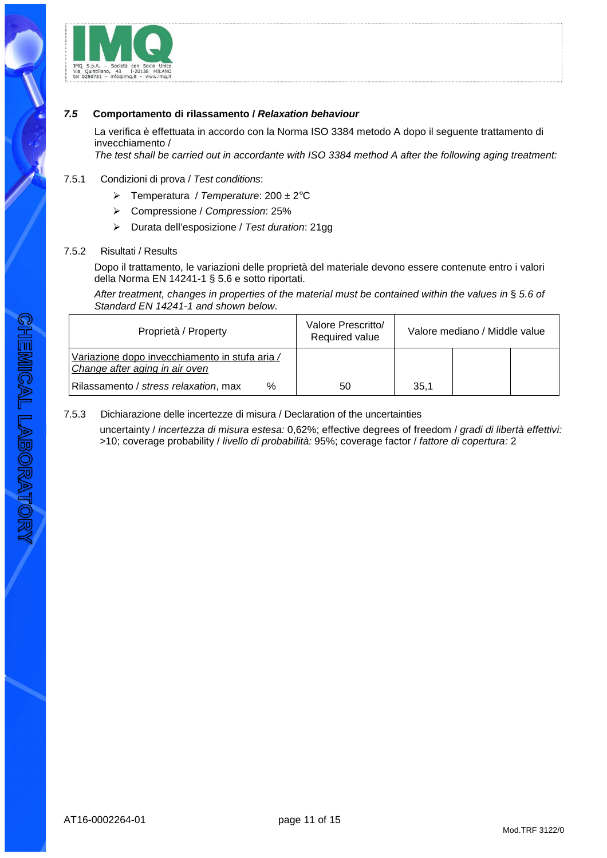

## **7.5 Comportamento di rilassamento / Relaxation behaviour**

La verifica è effettuata in accordo con la Norma ISO 3384 metodo A dopo il seguente trattamento di invecchiamento /

The test shall be carried out in accordante with ISO 3384 method A after the following aging treatment:

#### 7.5.1 Condizioni di prova / Test conditions:

- $\triangleright$  Temperatura / Temperature: 200 ± 2°C
- Compressione / Compression: 25%
- Durata dell'esposizione / Test duration: 21gg

#### 7.5.2 Risultati / Results

Dopo il trattamento, le variazioni delle proprietà del materiale devono essere contenute entro i valori della Norma EN 14241-1 § 5.6 e sotto riportati.

After treatment, changes in properties of the material must be contained within the values in § 5.6 of Standard EN 14241-1 and shown below.

| Proprietà / Property                                                             | Valore Prescritto/<br>Required value |      | Valore mediano / Middle value |  |
|----------------------------------------------------------------------------------|--------------------------------------|------|-------------------------------|--|
| Variazione dopo invecchiamento in stufa aria /<br>Change after aging in air oven |                                      |      |                               |  |
| $\%$<br>Rilassamento / stress relaxation, max                                    | 50                                   | 35.1 |                               |  |

#### 7.5.3 Dichiarazione delle incertezze di misura / Declaration of the uncertainties

uncertainty / incertezza di misura estesa: 0,62%; effective degrees of freedom / gradi di libertà effettivi: >10; coverage probability / livello di probabilità: 95%; coverage factor / fattore di copertura: 2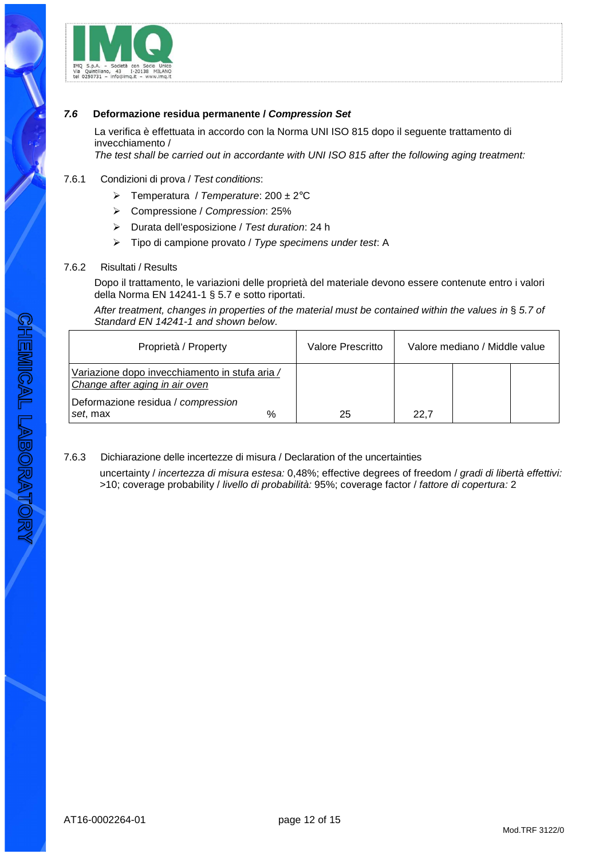

## **7.6 Deformazione residua permanente / Compression Set**

La verifica è effettuata in accordo con la Norma UNI ISO 815 dopo il seguente trattamento di invecchiamento /

The test shall be carried out in accordante with UNI ISO 815 after the following aging treatment:

## 7.6.1 Condizioni di prova / Test conditions:

- $\triangleright$  Temperatura / Temperature: 200 ± 2°C
- Compressione / Compression: 25%
- Durata dell'esposizione / Test duration: 24 h
- $\triangleright$  Tipo di campione provato / Type specimens under test: A

#### 7.6.2 Risultati / Results

Dopo il trattamento, le variazioni delle proprietà del materiale devono essere contenute entro i valori della Norma EN 14241-1 § 5.7 e sotto riportati.

After treatment, changes in properties of the material must be contained within the values in § 5.7 of Standard EN 14241-1 and shown below.

| Proprietà / Property                                                             | Valore Prescritto | Valore mediano / Middle value |  |
|----------------------------------------------------------------------------------|-------------------|-------------------------------|--|
| Variazione dopo invecchiamento in stufa aria /<br>Change after aging in air oven |                   |                               |  |
| Deformazione residua / compression<br>%<br>set, max                              | 25                | 22.7                          |  |

## 7.6.3 Dichiarazione delle incertezze di misura / Declaration of the uncertainties

uncertainty / incertezza di misura estesa: 0,48%; effective degrees of freedom / gradi di libertà effettivi: >10; coverage probability / livello di probabilità: 95%; coverage factor / fattore di copertura: 2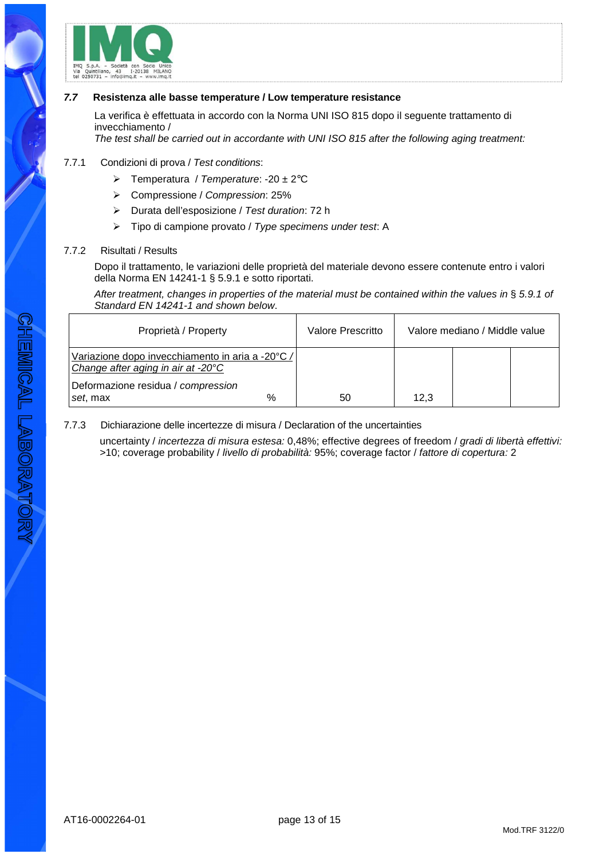

#### **7.7 Resistenza alle basse temperature / Low temperature resistance**

La verifica è effettuata in accordo con la Norma UNI ISO 815 dopo il seguente trattamento di invecchiamento /

The test shall be carried out in accordante with UNI ISO 815 after the following aging treatment:

#### 7.7.1 Condizioni di prova / Test conditions:

- $\triangleright$  Temperatura / Temperature: -20 ± 2°C
- Compressione / Compression: 25%
- $\triangleright$  Durata dell'esposizione / Test duration: 72 h
- $\triangleright$  Tipo di campione provato / Type specimens under test: A

#### 7.7.2 Risultati / Results

Dopo il trattamento, le variazioni delle proprietà del materiale devono essere contenute entro i valori della Norma EN 14241-1 § 5.9.1 e sotto riportati.

After treatment, changes in properties of the material must be contained within the values in § 5.9.1 of Standard EN 14241-1 and shown below.

| Proprietà / Property                                                                   | Valore Prescritto | Valore mediano / Middle value |  |
|----------------------------------------------------------------------------------------|-------------------|-------------------------------|--|
| Variazione dopo invecchiamento in aria a -20°C /<br>Change after aging in air at -20°C |                   |                               |  |
| Deformazione residua / compression<br>%<br>set, max                                    | 50                | 12.3                          |  |

#### 7.7.3 Dichiarazione delle incertezze di misura / Declaration of the uncertainties

uncertainty / incertezza di misura estesa: 0,48%; effective degrees of freedom / gradi di libertà effettivi: >10; coverage probability / livello di probabilità: 95%; coverage factor / fattore di copertura: 2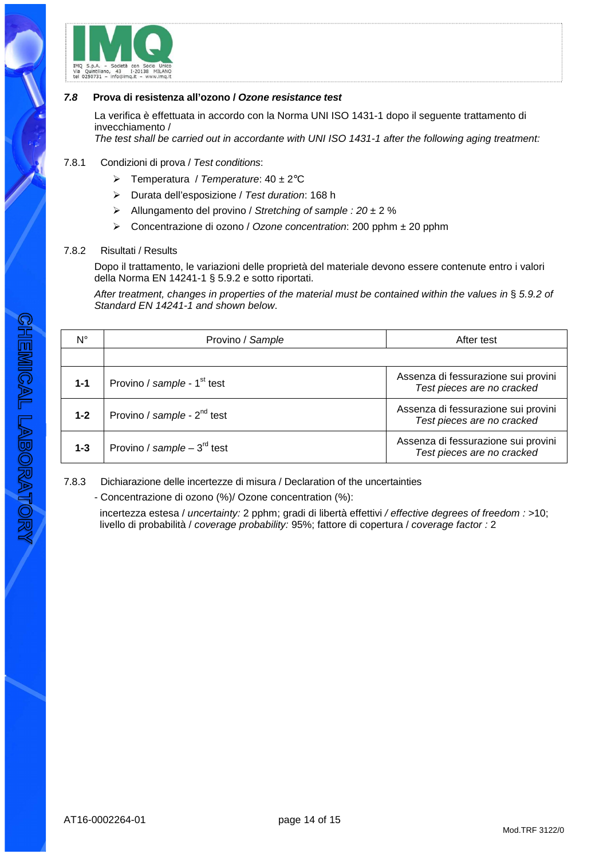

# **7.8 Prova di resistenza all'ozono / Ozone resistance test**

La verifica è effettuata in accordo con la Norma UNI ISO 1431-1 dopo il seguente trattamento di invecchiamento /

The test shall be carried out in accordante with UNI ISO 1431-1 after the following aging treatment:

# 7.8.1 Condizioni di prova / Test conditions:

- $\triangleright$  Temperatura / Temperature: 40 ± 2°C
- Durata dell'esposizione / Test duration: 168 h
- $\triangleright$  Allungamento del provino / Stretching of sample : 20 ± 2 %
- Concentrazione di ozono / Ozone concentration: 200 pphm ± 20 pphm

# 7.8.2 Risultati / Results

Dopo il trattamento, le variazioni delle proprietà del materiale devono essere contenute entro i valori della Norma EN 14241-1 § 5.9.2 e sotto riportati.

After treatment, changes in properties of the material must be contained within the values in § 5.9.2 of Standard EN 14241-1 and shown below.

| $N^{\circ}$ | Provino / Sample                        | After test                                                        |
|-------------|-----------------------------------------|-------------------------------------------------------------------|
|             |                                         |                                                                   |
| $1 - 1$     | Provino / sample - 1 <sup>st</sup> test | Assenza di fessurazione sui provini<br>Test pieces are no cracked |
| $1 - 2$     | Provino / sample - 2 <sup>nd</sup> test | Assenza di fessurazione sui provini<br>Test pieces are no cracked |
| $1 - 3$     | Provino / sample – $3^{\text{rd}}$ test | Assenza di fessurazione sui provini<br>Test pieces are no cracked |

7.8.3 Dichiarazione delle incertezze di misura / Declaration of the uncertainties

- Concentrazione di ozono (%)/ Ozone concentration (%):

incertezza estesa / uncertainty: 2 pphm; gradi di libertà effettivi / effective degrees of freedom : >10; livello di probabilità / coverage probability: 95%; fattore di copertura / coverage factor : 2